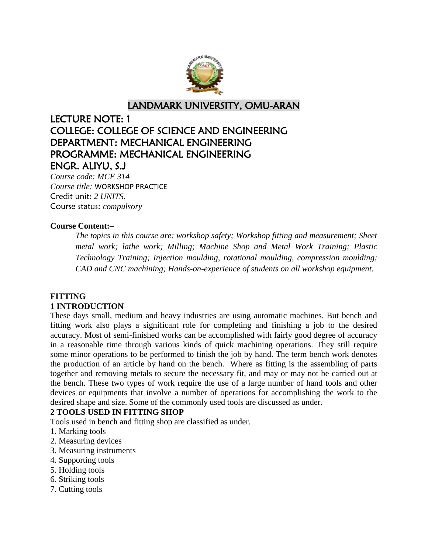

LANDMARK UNIVERSITY, OMU-ARAN

# LECTURE NOTE: 1 COLLEGE: COLLEGE OF SCIENCE AND ENGINEERING DEPARTMENT: MECHANICAL ENGINEERING PROGRAMME: MECHANICAL ENGINEERING ENGR. ALIYU, S.J

*Course code: MCE 314 Course title:* WORKSHOP PRACTICE Credit unit: *2 UNITS.* Course status: *compulsory*

# **Course Content:–**

*The topics in this course are: workshop safety; Workshop fitting and measurement; Sheet metal work; lathe work; Milling; Machine Shop and Metal Work Training; Plastic Technology Training; Injection moulding, rotational moulding, compression moulding; CAD and CNC machining; Hands-on-experience of students on all workshop equipment.*

#### **FITTING 1 INTRODUCTION**

These days small, medium and heavy industries are using automatic machines. But bench and fitting work also plays a significant role for completing and finishing a job to the desired accuracy. Most of semi-finished works can be accomplished with fairly good degree of accuracy in a reasonable time through various kinds of quick machining operations. They still require some minor operations to be performed to finish the job by hand. The term bench work denotes the production of an article by hand on the bench. Where as fitting is the assembling of parts together and removing metals to secure the necessary fit, and may or may not be carried out at the bench. These two types of work require the use of a large number of hand tools and other devices or equipments that involve a number of operations for accomplishing the work to the desired shape and size. Some of the commonly used tools are discussed as under.

# **2 TOOLS USED IN FITTING SHOP**

Tools used in bench and fitting shop are classified as under.

- 1. Marking tools
- 2. Measuring devices
- 3. Measuring instruments
- 4. Supporting tools
- 5. Holding tools
- 6. Striking tools
- 7. Cutting tools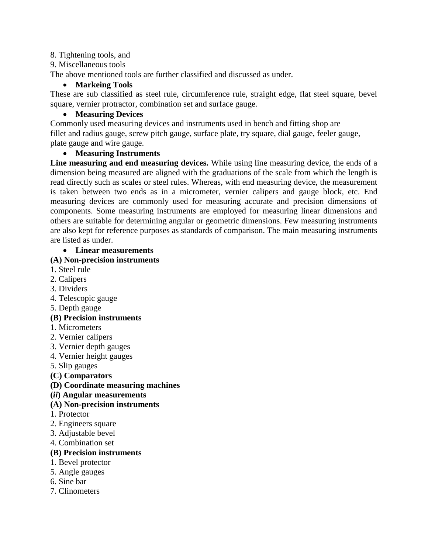#### 8. Tightening tools, and

9. Miscellaneous tools

The above mentioned tools are further classified and discussed as under.

# **Markeing Tools**

These are sub classified as steel rule, circumference rule, straight edge, flat steel square, bevel square, vernier protractor, combination set and surface gauge.

# **Measuring Devices**

Commonly used measuring devices and instruments used in bench and fitting shop are fillet and radius gauge, screw pitch gauge, surface plate, try square, dial gauge, feeler gauge, plate gauge and wire gauge.

# **Measuring Instruments**

**Line measuring and end measuring devices.** While using line measuring device, the ends of a dimension being measured are aligned with the graduations of the scale from which the length is read directly such as scales or steel rules. Whereas, with end measuring device, the measurement is taken between two ends as in a micrometer, vernier calipers and gauge block, etc. End measuring devices are commonly used for measuring accurate and precision dimensions of components. Some measuring instruments are employed for measuring linear dimensions and others are suitable for determining angular or geometric dimensions. Few measuring instruments are also kept for reference purposes as standards of comparison. The main measuring instruments are listed as under.

# **Linear measurements**

# **(A) Non-precision instruments**

- 1. Steel rule
- 2. Calipers
- 3. Dividers
- 4. Telescopic gauge
- 5. Depth gauge

# **(B) Precision instruments**

- 1. Micrometers
- 2. Vernier calipers
- 3. Vernier depth gauges
- 4. Vernier height gauges
- 5. Slip gauges
- **(C) Comparators**
- **(D) Coordinate measuring machines**
- **(***ii***) Angular measurements**

# **(A) Non-precision instruments**

- 1. Protector
- 2. Engineers square
- 3. Adjustable bevel
- 4. Combination set

# **(B) Precision instruments**

- 1. Bevel protector
- 5. Angle gauges
- 6. Sine bar
- 7. Clinometers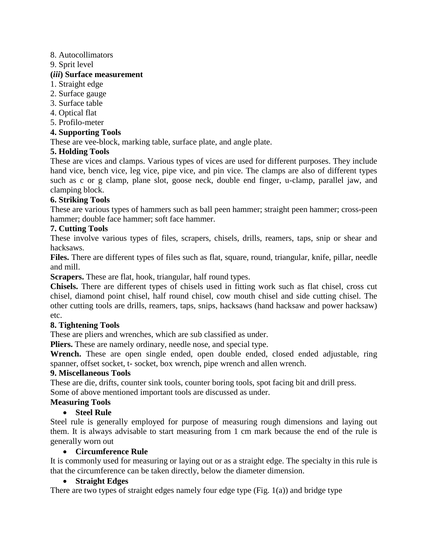# 8. Autocollimators

9. Sprit level

# **(***iii***) Surface measurement**

- 1. Straight edge
- 2. Surface gauge
- 3. Surface table
- 4. Optical flat
- 5. Profilo-meter

# **4. Supporting Tools**

These are vee-block, marking table, surface plate, and angle plate.

# **5. Holding Tools**

These are vices and clamps. Various types of vices are used for different purposes. They include hand vice, bench vice, leg vice, pipe vice, and pin vice. The clamps are also of different types such as c or g clamp, plane slot, goose neck, double end finger, u-clamp, parallel jaw, and clamping block.

# **6. Striking Tools**

These are various types of hammers such as ball peen hammer; straight peen hammer; cross-peen hammer; double face hammer; soft face hammer.

# **7. Cutting Tools**

These involve various types of files, scrapers, chisels, drills, reamers, taps, snip or shear and hacksaws.

**Files.** There are different types of files such as flat, square, round, triangular, knife, pillar, needle and mill.

**Scrapers.** These are flat, hook, triangular, half round types.

**Chisels.** There are different types of chisels used in fitting work such as flat chisel, cross cut chisel, diamond point chisel, half round chisel, cow mouth chisel and side cutting chisel. The other cutting tools are drills, reamers, taps, snips, hacksaws (hand hacksaw and power hacksaw) etc.

# **8. Tightening Tools**

These are pliers and wrenches, which are sub classified as under.

**Pliers.** These are namely ordinary, needle nose, and special type.

**Wrench.** These are open single ended, open double ended, closed ended adjustable, ring spanner, offset socket, t- socket, box wrench, pipe wrench and allen wrench.

#### **9. Miscellaneous Tools**

These are die, drifts, counter sink tools, counter boring tools, spot facing bit and drill press.

Some of above mentioned important tools are discussed as under.

# **Measuring Tools**

#### **Steel Rule**

Steel rule is generally employed for purpose of measuring rough dimensions and laying out them. It is always advisable to start measuring from 1 cm mark because the end of the rule is generally worn out

#### **Circumference Rule**

It is commonly used for measuring or laying out or as a straight edge. The specialty in this rule is that the circumference can be taken directly, below the diameter dimension.

#### **Straight Edges**

There are two types of straight edges namely four edge type (Fig. 1(a)) and bridge type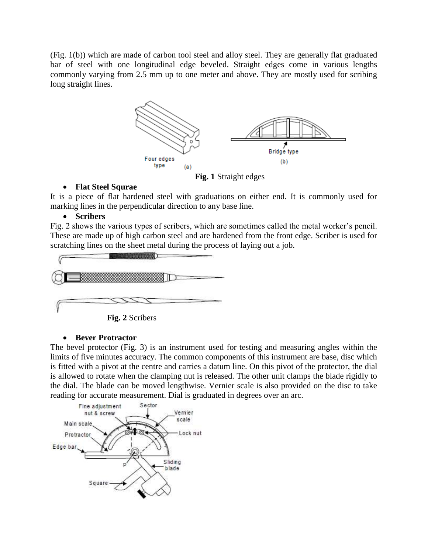(Fig. 1(b)) which are made of carbon tool steel and alloy steel. They are generally flat graduated bar of steel with one longitudinal edge beveled. Straight edges come in various lengths commonly varying from 2.5 mm up to one meter and above. They are mostly used for scribing long straight lines.



 **Fig. 1** Straight edges

# **Flat Steel Squrae**

It is a piece of flat hardened steel with graduations on either end. It is commonly used for marking lines in the perpendicular direction to any base line.

# **Scribers**

Fig. 2 shows the various types of scribers, which are sometimes called the metal worker's pencil. These are made up of high carbon steel and are hardened from the front edge. Scriber is used for scratching lines on the sheet metal during the process of laying out a job.



 **Fig. 2** Scribers

# **Bever Protractor**

The bevel protector (Fig. 3) is an instrument used for testing and measuring angles within the limits of five minutes accuracy. The common components of this instrument are base, disc which is fitted with a pivot at the centre and carries a datum line. On this pivot of the protector, the dial is allowed to rotate when the clamping nut is released. The other unit clamps the blade rigidly to the dial. The blade can be moved lengthwise. Vernier scale is also provided on the disc to take reading for accurate measurement. Dial is graduated in degrees over an arc.

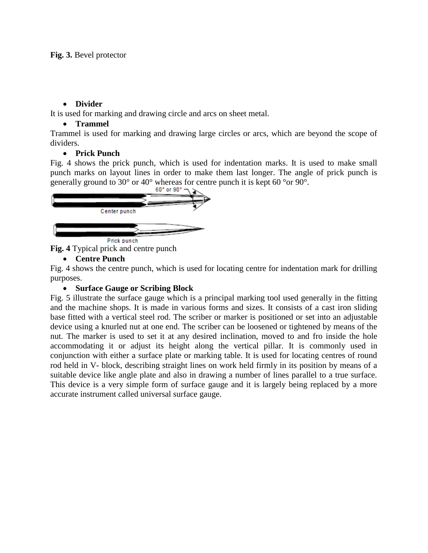### **Fig. 3.** Bevel protector

# **Divider**

It is used for marking and drawing circle and arcs on sheet metal.

# **Trammel**

Trammel is used for marking and drawing large circles or arcs, which are beyond the scope of dividers.

# **Prick Punch**

Fig. 4 shows the prick punch, which is used for indentation marks. It is used to make small punch marks on layout lines in order to make them last longer. The angle of prick punch is generally ground to 30° or 40° whereas for centre punch it is kept 60 ° or 90°.<br>60° or 90°  $\rightarrow \infty$ 





# **Centre Punch**

Fig. 4 shows the centre punch, which is used for locating centre for indentation mark for drilling purposes.

# **Surface Gauge or Scribing Block**

Fig. 5 illustrate the surface gauge which is a principal marking tool used generally in the fitting and the machine shops. It is made in various forms and sizes. It consists of a cast iron sliding base fitted with a vertical steel rod. The scriber or marker is positioned or set into an adjustable device using a knurled nut at one end. The scriber can be loosened or tightened by means of the nut. The marker is used to set it at any desired inclination, moved to and fro inside the hole accommodating it or adjust its height along the vertical pillar. It is commonly used in conjunction with either a surface plate or marking table. It is used for locating centres of round rod held in V- block, describing straight lines on work held firmly in its position by means of a suitable device like angle plate and also in drawing a number of lines parallel to a true surface. This device is a very simple form of surface gauge and it is largely being replaced by a more accurate instrument called universal surface gauge.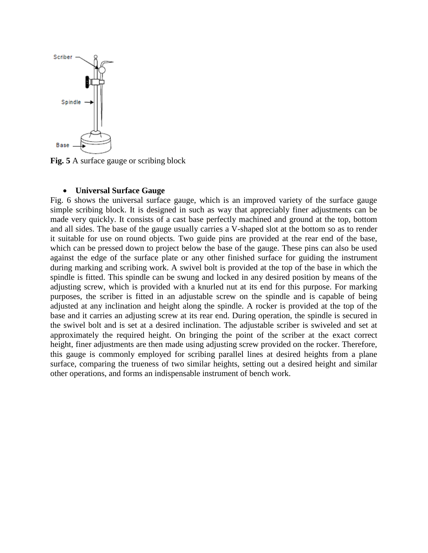

**Fig. 5** A surface gauge or scribing block

#### **Universal Surface Gauge**

Fig. 6 shows the universal surface gauge, which is an improved variety of the surface gauge simple scribing block. It is designed in such as way that appreciably finer adjustments can be made very quickly. It consists of a cast base perfectly machined and ground at the top, bottom and all sides. The base of the gauge usually carries a V-shaped slot at the bottom so as to render it suitable for use on round objects. Two guide pins are provided at the rear end of the base, which can be pressed down to project below the base of the gauge. These pins can also be used against the edge of the surface plate or any other finished surface for guiding the instrument during marking and scribing work. A swivel bolt is provided at the top of the base in which the spindle is fitted. This spindle can be swung and locked in any desired position by means of the adjusting screw, which is provided with a knurled nut at its end for this purpose. For marking purposes, the scriber is fitted in an adjustable screw on the spindle and is capable of being adjusted at any inclination and height along the spindle. A rocker is provided at the top of the base and it carries an adjusting screw at its rear end. During operation, the spindle is secured in the swivel bolt and is set at a desired inclination. The adjustable scriber is swiveled and set at approximately the required height. On bringing the point of the scriber at the exact correct height, finer adjustments are then made using adjusting screw provided on the rocker. Therefore, this gauge is commonly employed for scribing parallel lines at desired heights from a plane surface, comparing the trueness of two similar heights, setting out a desired height and similar other operations, and forms an indispensable instrument of bench work.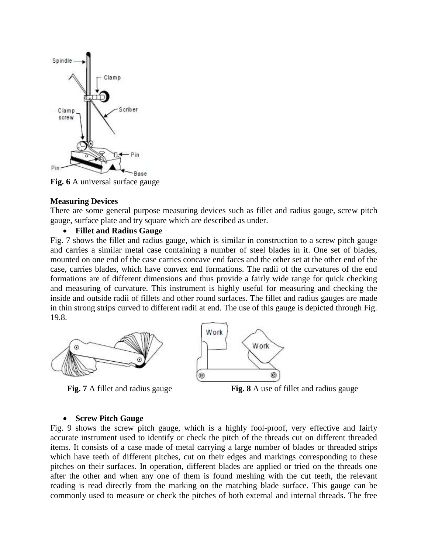

**Fig. 6** A universal surface gauge

#### **Measuring Devices**

There are some general purpose measuring devices such as fillet and radius gauge, screw pitch gauge, surface plate and try square which are described as under.

# **Fillet and Radius Gauge**

Fig. 7 shows the fillet and radius gauge, which is similar in construction to a screw pitch gauge and carries a similar metal case containing a number of steel blades in it. One set of blades, mounted on one end of the case carries concave end faces and the other set at the other end of the case, carries blades, which have convex end formations. The radii of the curvatures of the end formations are of different dimensions and thus provide a fairly wide range for quick checking and measuring of curvature. This instrument is highly useful for measuring and checking the inside and outside radii of fillets and other round surfaces. The fillet and radius gauges are made in thin strong strips curved to different radii at end. The use of this gauge is depicted through Fig. 19.8.





**Fig. 7** A fillet and radius gauge **Fig. 8** A use of fillet and radius gauge

#### **Screw Pitch Gauge**

Fig. 9 shows the screw pitch gauge, which is a highly fool-proof, very effective and fairly accurate instrument used to identify or check the pitch of the threads cut on different threaded items. It consists of a case made of metal carrying a large number of blades or threaded strips which have teeth of different pitches, cut on their edges and markings corresponding to these pitches on their surfaces. In operation, different blades are applied or tried on the threads one after the other and when any one of them is found meshing with the cut teeth, the relevant reading is read directly from the marking on the matching blade surface. This gauge can be commonly used to measure or check the pitches of both external and internal threads. The free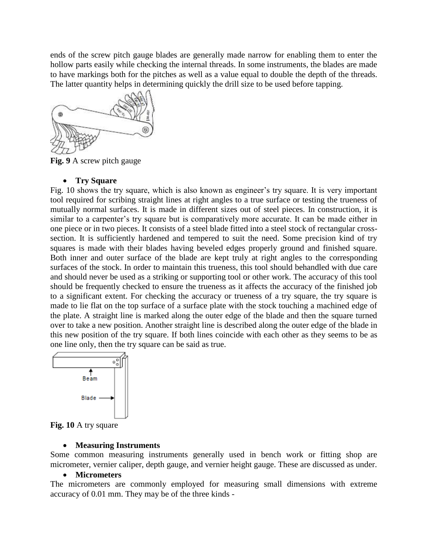ends of the screw pitch gauge blades are generally made narrow for enabling them to enter the hollow parts easily while checking the internal threads. In some instruments, the blades are made to have markings both for the pitches as well as a value equal to double the depth of the threads. The latter quantity helps in determining quickly the drill size to be used before tapping.



**Fig. 9** A screw pitch gauge

# **Try Square**

Fig. 10 shows the try square, which is also known as engineer's try square. It is very important tool required for scribing straight lines at right angles to a true surface or testing the trueness of mutually normal surfaces. It is made in different sizes out of steel pieces. In construction, it is similar to a carpenter's try square but is comparatively more accurate. It can be made either in one piece or in two pieces. It consists of a steel blade fitted into a steel stock of rectangular crosssection. It is sufficiently hardened and tempered to suit the need. Some precision kind of try squares is made with their blades having beveled edges properly ground and finished square. Both inner and outer surface of the blade are kept truly at right angles to the corresponding surfaces of the stock. In order to maintain this trueness, this tool should behandled with due care and should never be used as a striking or supporting tool or other work. The accuracy of this tool should be frequently checked to ensure the trueness as it affects the accuracy of the finished job to a significant extent. For checking the accuracy or trueness of a try square, the try square is made to lie flat on the top surface of a surface plate with the stock touching a machined edge of the plate. A straight line is marked along the outer edge of the blade and then the square turned over to take a new position. Another straight line is described along the outer edge of the blade in this new position of the try square. If both lines coincide with each other as they seems to be as one line only, then the try square can be said as true.



**Fig. 10** A try square

#### **Measuring Instruments**

Some common measuring instruments generally used in bench work or fitting shop are micrometer, vernier caliper, depth gauge, and vernier height gauge. These are discussed as under.

# **Micrometers**

The micrometers are commonly employed for measuring small dimensions with extreme accuracy of 0.01 mm. They may be of the three kinds -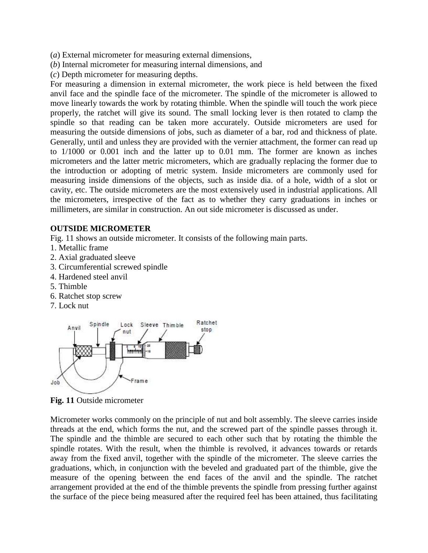(*a*) External micrometer for measuring external dimensions,

- (*b*) Internal micrometer for measuring internal dimensions, and
- (*c*) Depth micrometer for measuring depths.

For measuring a dimension in external micrometer, the work piece is held between the fixed anvil face and the spindle face of the micrometer. The spindle of the micrometer is allowed to move linearly towards the work by rotating thimble. When the spindle will touch the work piece properly, the ratchet will give its sound. The small locking lever is then rotated to clamp the spindle so that reading can be taken more accurately. Outside micrometers are used for measuring the outside dimensions of jobs, such as diameter of a bar, rod and thickness of plate. Generally, until and unless they are provided with the vernier attachment, the former can read up to 1/1000 or 0.001 inch and the latter up to 0.01 mm. The former are known as inches micrometers and the latter metric micrometers, which are gradually replacing the former due to the introduction or adopting of metric system. Inside micrometers are commonly used for measuring inside dimensions of the objects, such as inside dia. of a hole, width of a slot or cavity, etc. The outside micrometers are the most extensively used in industrial applications. All the micrometers, irrespective of the fact as to whether they carry graduations in inches or millimeters, are similar in construction. An out side micrometer is discussed as under.

# **OUTSIDE MICROMETER**

Fig. 11 shows an outside micrometer. It consists of the following main parts.

- 1. Metallic frame
- 2. Axial graduated sleeve
- 3. Circumferential screwed spindle
- 4. Hardened steel anvil
- 5. Thimble
- 6. Ratchet stop screw
- 7. Lock nut



**Fig. 11** Outside micrometer

Micrometer works commonly on the principle of nut and bolt assembly. The sleeve carries inside threads at the end, which forms the nut, and the screwed part of the spindle passes through it. The spindle and the thimble are secured to each other such that by rotating the thimble the spindle rotates. With the result, when the thimble is revolved, it advances towards or retards away from the fixed anvil, together with the spindle of the micrometer. The sleeve carries the graduations, which, in conjunction with the beveled and graduated part of the thimble, give the measure of the opening between the end faces of the anvil and the spindle. The ratchet arrangement provided at the end of the thimble prevents the spindle from pressing further against the surface of the piece being measured after the required feel has been attained, thus facilitating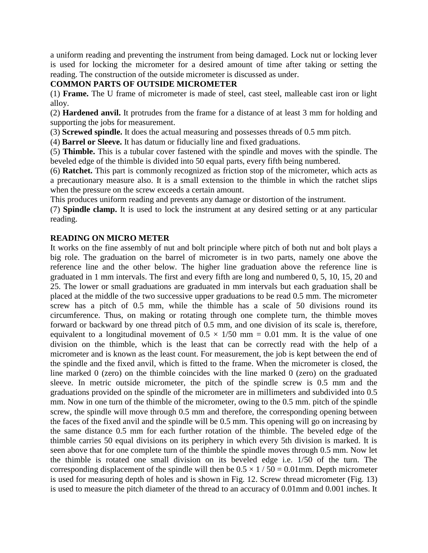a uniform reading and preventing the instrument from being damaged. Lock nut or locking lever is used for locking the micrometer for a desired amount of time after taking or setting the reading. The construction of the outside micrometer is discussed as under.

### **COMMON PARTS OF OUTSIDE MICROMETER**

(1) **Frame.** The U frame of micrometer is made of steel, cast steel, malleable cast iron or light alloy.

(2) **Hardened anvil.** It protrudes from the frame for a distance of at least 3 mm for holding and supporting the jobs for measurement.

(3) **Screwed spindle.** It does the actual measuring and possesses threads of 0.5 mm pitch.

(4) **Barrel or Sleeve.** It has datum or fiducially line and fixed graduations.

(5) **Thimble.** This is a tubular cover fastened with the spindle and moves with the spindle. The beveled edge of the thimble is divided into 50 equal parts, every fifth being numbered.

(6) **Ratchet.** This part is commonly recognized as friction stop of the micrometer, which acts as a precautionary measure also. It is a small extension to the thimble in which the ratchet slips when the pressure on the screw exceeds a certain amount.

This produces uniform reading and prevents any damage or distortion of the instrument.

(7) **Spindle clamp.** It is used to lock the instrument at any desired setting or at any particular reading.

# **READING ON MICRO METER**

It works on the fine assembly of nut and bolt principle where pitch of both nut and bolt plays a big role. The graduation on the barrel of micrometer is in two parts, namely one above the reference line and the other below. The higher line graduation above the reference line is graduated in 1 mm intervals. The first and every fifth are long and numbered 0, 5, 10, 15, 20 and 25. The lower or small graduations are graduated in mm intervals but each graduation shall be placed at the middle of the two successive upper graduations to be read 0.5 mm. The micrometer screw has a pitch of 0.5 mm, while the thimble has a scale of 50 divisions round its circumference. Thus, on making or rotating through one complete turn, the thimble moves forward or backward by one thread pitch of 0.5 mm, and one division of its scale is, therefore, equivalent to a longitudinal movement of  $0.5 \times 1/50$  mm = 0.01 mm. It is the value of one division on the thimble, which is the least that can be correctly read with the help of a micrometer and is known as the least count. For measurement, the job is kept between the end of the spindle and the fixed anvil, which is fitted to the frame. When the micrometer is closed, the line marked 0 (zero) on the thimble coincides with the line marked 0 (zero) on the graduated sleeve. In metric outside micrometer, the pitch of the spindle screw is 0.5 mm and the graduations provided on the spindle of the micrometer are in millimeters and subdivided into 0.5 mm. Now in one turn of the thimble of the micrometer, owing to the 0.5 mm. pitch of the spindle screw, the spindle will move through 0.5 mm and therefore, the corresponding opening between the faces of the fixed anvil and the spindle will be 0.5 mm. This opening will go on increasing by the same distance 0.5 mm for each further rotation of the thimble. The beveled edge of the thimble carries 50 equal divisions on its periphery in which every 5th division is marked. It is seen above that for one complete turn of the thimble the spindle moves through 0.5 mm. Now let the thimble is rotated one small division on its beveled edge i.e. 1/50 of the turn. The corresponding displacement of the spindle will then be  $0.5 \times 1 / 50 = 0.01$  mm. Depth micrometer is used for measuring depth of holes and is shown in Fig. 12. Screw thread micrometer (Fig. 13) is used to measure the pitch diameter of the thread to an accuracy of 0.01mm and 0.001 inches. It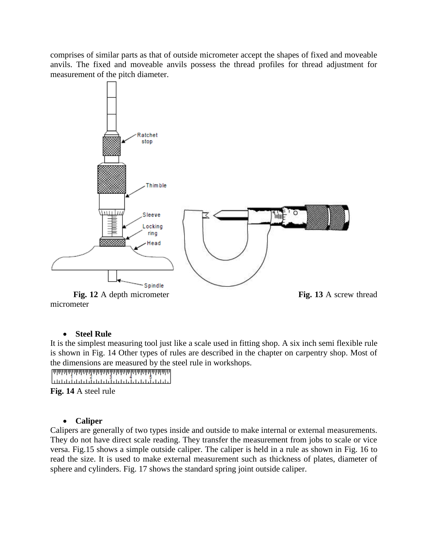comprises of similar parts as that of outside micrometer accept the shapes of fixed and moveable anvils. The fixed and moveable anvils possess the thread profiles for thread adjustment for measurement of the pitch diameter.



micrometer

#### **Steel Rule**

It is the simplest measuring tool just like a scale used in fitting shop. A six inch semi flexible rule is shown in Fig. 14 Other types of rules are described in the chapter on carpentry shop. Most of the dimensions are measured by the steel rule in workshops.

لىسىنىشىنىشىسئىسىنىسانسىسا

**Fig. 14** A steel rule

#### **Caliper**

Calipers are generally of two types inside and outside to make internal or external measurements. They do not have direct scale reading. They transfer the measurement from jobs to scale or vice versa. Fig.15 shows a simple outside caliper. The caliper is held in a rule as shown in Fig. 16 to read the size. It is used to make external measurement such as thickness of plates, diameter of sphere and cylinders. Fig. 17 shows the standard spring joint outside caliper.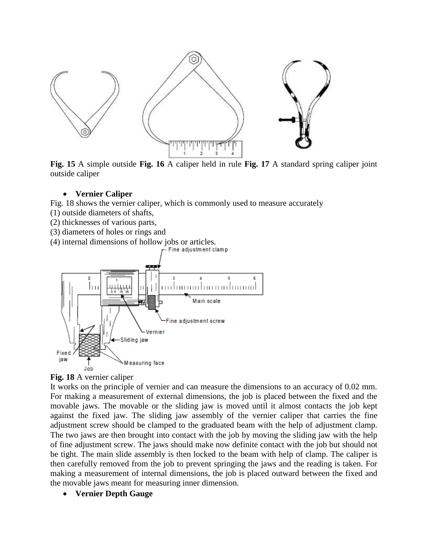

**Fig. 15** A simple outside **Fig. 16** A caliper held in rule **Fig. 17** A standard spring caliper joint outside caliper

#### **Vernier Caliper**

Fig. 18 shows the vernier caliper, which is commonly used to measure accurately

- (1) outside diameters of shafts,
- (2) thicknesses of various parts,
- (3) diameters of holes or rings and
- (4) internal dimensions of hollow jobs or articles.<br> $\overline{F}$  Fine adjustment clamp



#### **Fig. 18** A vernier caliper

It works on the principle of vernier and can measure the dimensions to an accuracy of 0.02 mm. For making a measurement of external dimensions, the job is placed between the fixed and the movable jaws. The movable or the sliding jaw is moved until it almost contacts the job kept against the fixed jaw. The sliding jaw assembly of the vernier caliper that carries the fine adjustment screw should be clamped to the graduated beam with the help of adjustment clamp. The two jaws are then brought into contact with the job by moving the sliding jaw with the help of fine adjustment screw. The jaws should make now definite contact with the job but should not be tight. The main slide assembly is then locked to the beam with help of clamp. The caliper is then carefully removed from the job to prevent springing the jaws and the reading is taken. For making a measurement of internal dimensions, the job is placed outward between the fixed and the movable jaws meant for measuring inner dimension.

**Vernier Depth Gauge**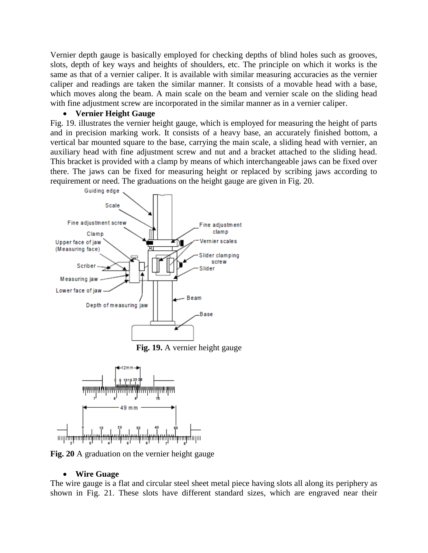Vernier depth gauge is basically employed for checking depths of blind holes such as grooves, slots, depth of key ways and heights of shoulders, etc. The principle on which it works is the same as that of a vernier caliper. It is available with similar measuring accuracies as the vernier caliper and readings are taken the similar manner. It consists of a movable head with a base, which moves along the beam. A main scale on the beam and vernier scale on the sliding head with fine adjustment screw are incorporated in the similar manner as in a vernier caliper.

#### **Vernier Height Gauge**

Fig. 19. illustrates the vernier height gauge, which is employed for measuring the height of parts and in precision marking work. It consists of a heavy base, an accurately finished bottom, a vertical bar mounted square to the base, carrying the main scale, a sliding head with vernier, an auxiliary head with fine adjustment screw and nut and a bracket attached to the sliding head. This bracket is provided with a clamp by means of which interchangeable jaws can be fixed over there. The jaws can be fixed for measuring height or replaced by scribing jaws according to requirement or need. The graduations on the height gauge are given in Fig. 20.



 **Fig. 19.** A vernier height gauge



**Fig. 20** A graduation on the vernier height gauge

#### **Wire Guage**

The wire gauge is a flat and circular steel sheet metal piece having slots all along its periphery as shown in Fig. 21. These slots have different standard sizes, which are engraved near their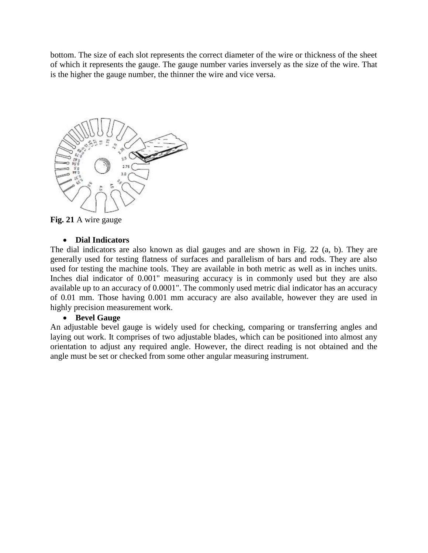bottom. The size of each slot represents the correct diameter of the wire or thickness of the sheet of which it represents the gauge. The gauge number varies inversely as the size of the wire. That is the higher the gauge number, the thinner the wire and vice versa.



**Fig. 21** A wire gauge

#### **Dial Indicators**

The dial indicators are also known as dial gauges and are shown in Fig. 22 (a, b). They are generally used for testing flatness of surfaces and parallelism of bars and rods. They are also used for testing the machine tools. They are available in both metric as well as in inches units. Inches dial indicator of 0.001" measuring accuracy is in commonly used but they are also available up to an accuracy of 0.0001". The commonly used metric dial indicator has an accuracy of 0.01 mm. Those having 0.001 mm accuracy are also available, however they are used in highly precision measurement work.

#### **Bevel Gauge**

An adjustable bevel gauge is widely used for checking, comparing or transferring angles and laying out work. It comprises of two adjustable blades, which can be positioned into almost any orientation to adjust any required angle. However, the direct reading is not obtained and the angle must be set or checked from some other angular measuring instrument.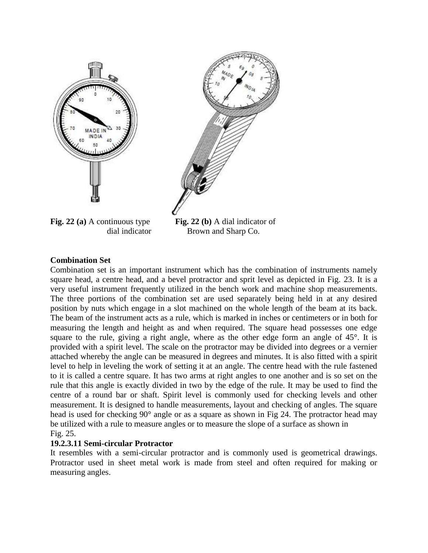



**Fig. 22 (a)** A continuous type **Fig. 22 (b)** A dial indicator of

dial indicator Brown and Sharp Co.

#### **Combination Set**

Combination set is an important instrument which has the combination of instruments namely square head, a centre head, and a bevel protractor and sprit level as depicted in Fig. 23. It is a very useful instrument frequently utilized in the bench work and machine shop measurements. The three portions of the combination set are used separately being held in at any desired position by nuts which engage in a slot machined on the whole length of the beam at its back. The beam of the instrument acts as a rule, which is marked in inches or centimeters or in both for measuring the length and height as and when required. The square head possesses one edge square to the rule, giving a right angle, where as the other edge form an angle of 45°. It is provided with a spirit level. The scale on the protractor may be divided into degrees or a vernier attached whereby the angle can be measured in degrees and minutes. It is also fitted with a spirit level to help in leveling the work of setting it at an angle. The centre head with the rule fastened to it is called a centre square. It has two arms at right angles to one another and is so set on the rule that this angle is exactly divided in two by the edge of the rule. It may be used to find the centre of a round bar or shaft. Spirit level is commonly used for checking levels and other measurement. It is designed to handle measurements, layout and checking of angles. The square head is used for checking 90° angle or as a square as shown in Fig 24. The protractor head may be utilized with a rule to measure angles or to measure the slope of a surface as shown in Fig. 25.

#### **19.2.3.11 Semi-circular Protractor**

It resembles with a semi-circular protractor and is commonly used is geometrical drawings. Protractor used in sheet metal work is made from steel and often required for making or measuring angles.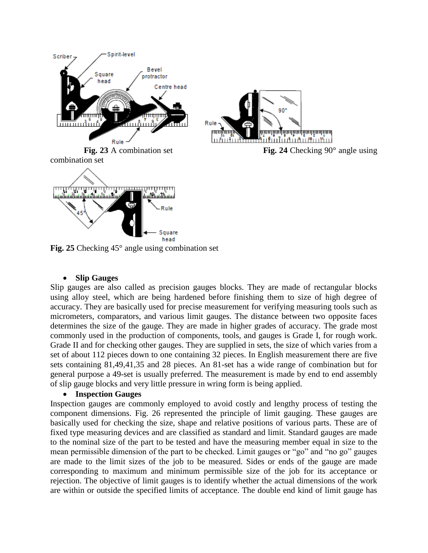

**Fig. 25** Checking 45° angle using combination set

### **Slip Gauges**

Slip gauges are also called as precision gauges blocks. They are made of rectangular blocks using alloy steel, which are being hardened before finishing them to size of high degree of accuracy. They are basically used for precise measurement for verifying measuring tools such as micrometers, comparators, and various limit gauges. The distance between two opposite faces determines the size of the gauge. They are made in higher grades of accuracy. The grade most commonly used in the production of components, tools, and gauges is Grade I, for rough work. Grade II and for checking other gauges. They are supplied in sets, the size of which varies from a set of about 112 pieces down to one containing 32 pieces. In English measurement there are five sets containing 81,49,41,35 and 28 pieces. An 81-set has a wide range of combination but for general purpose a 49-set is usually preferred. The measurement is made by end to end assembly of slip gauge blocks and very little pressure in wring form is being applied.

#### **Inspection Gauges**

Inspection gauges are commonly employed to avoid costly and lengthy process of testing the component dimensions. Fig. 26 represented the principle of limit gauging. These gauges are basically used for checking the size, shape and relative positions of various parts. These are of fixed type measuring devices and are classified as standard and limit. Standard gauges are made to the nominal size of the part to be tested and have the measuring member equal in size to the mean permissible dimension of the part to be checked. Limit gauges or "go" and "no go" gauges are made to the limit sizes of the job to be measured. Sides or ends of the gauge are made corresponding to maximum and minimum permissible size of the job for its acceptance or rejection. The objective of limit gauges is to identify whether the actual dimensions of the work are within or outside the specified limits of acceptance. The double end kind of limit gauge has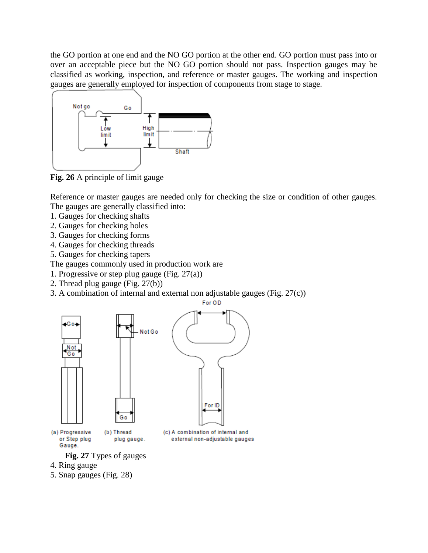the GO portion at one end and the NO GO portion at the other end. GO portion must pass into or over an acceptable piece but the NO GO portion should not pass. Inspection gauges may be classified as working, inspection, and reference or master gauges. The working and inspection gauges are generally employed for inspection of components from stage to stage.



**Fig. 26** A principle of limit gauge

Reference or master gauges are needed only for checking the size or condition of other gauges. The gauges are generally classified into:

- 1. Gauges for checking shafts
- 2. Gauges for checking holes
- 3. Gauges for checking forms
- 4. Gauges for checking threads
- 5. Gauges for checking tapers

The gauges commonly used in production work are

- 1. Progressive or step plug gauge (Fig. 27(a))
- 2. Thread plug gauge (Fig. 27(b))
- 3. A combination of internal and external non adjustable gauges (Fig. 27(c))



- 4. Ring gauge
- 5. Snap gauges (Fig. 28)